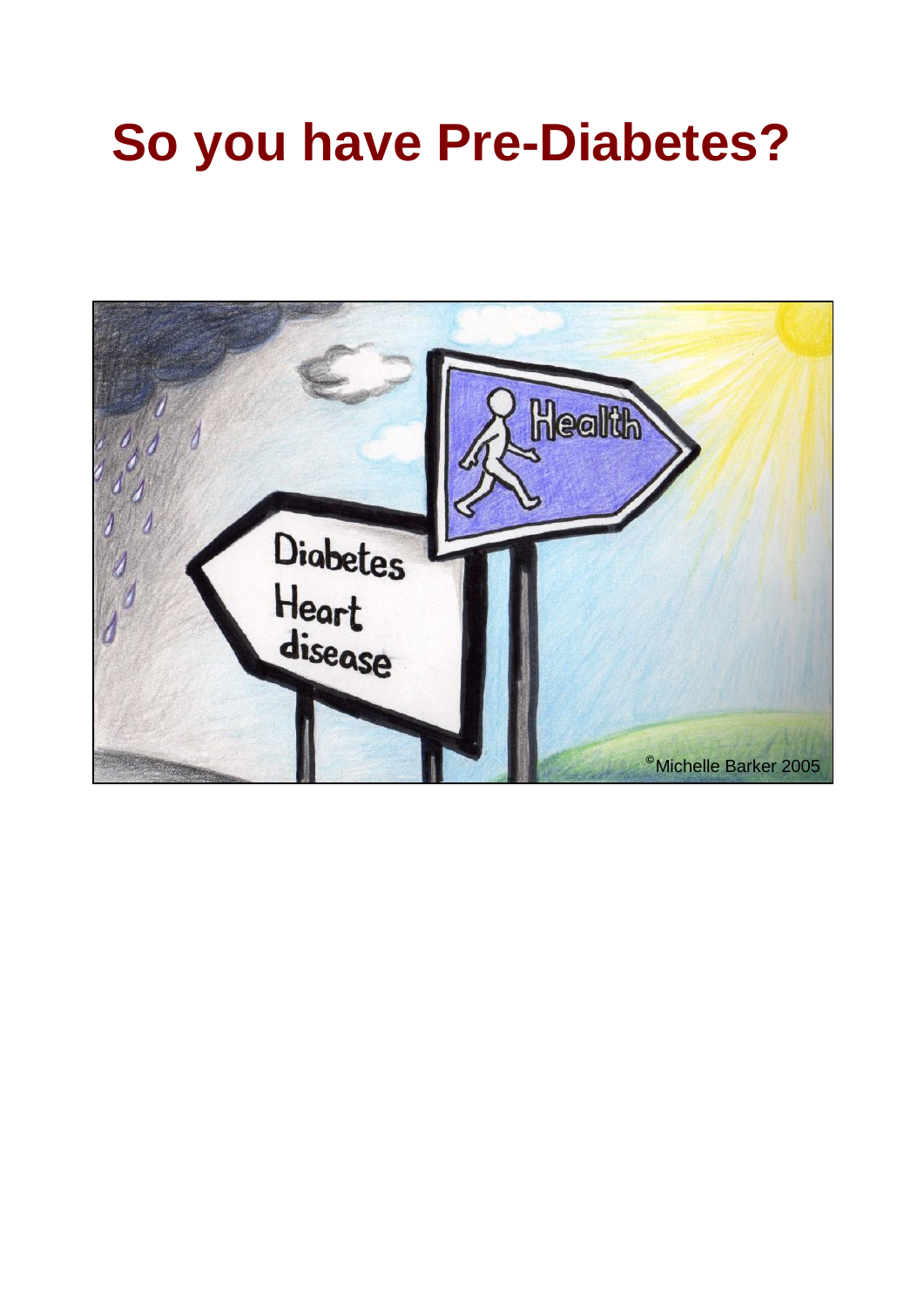# **So you have Pre-Diabetes?**

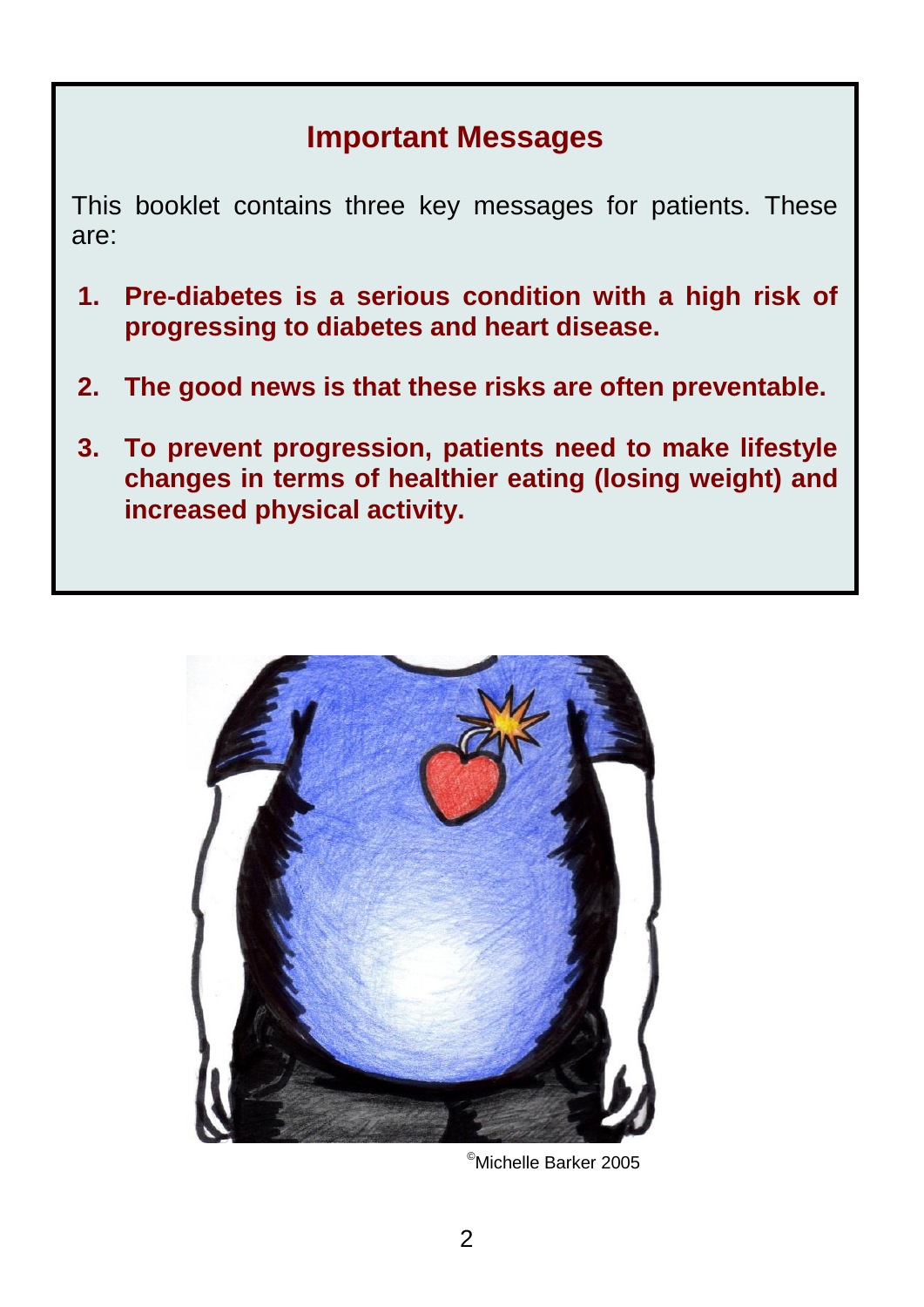### **Important Messages**

This booklet contains three key messages for patients. These are:

- **1. Pre-diabetes is a serious condition with a high risk of progressing to diabetes and heart disease.**
- **2. The good news is that these risks are often preventable.**
- **3. To prevent progression, patients need to make lifestyle changes in terms of healthier eating (losing weight) and increased physical activity.**



©Michelle Barker 2005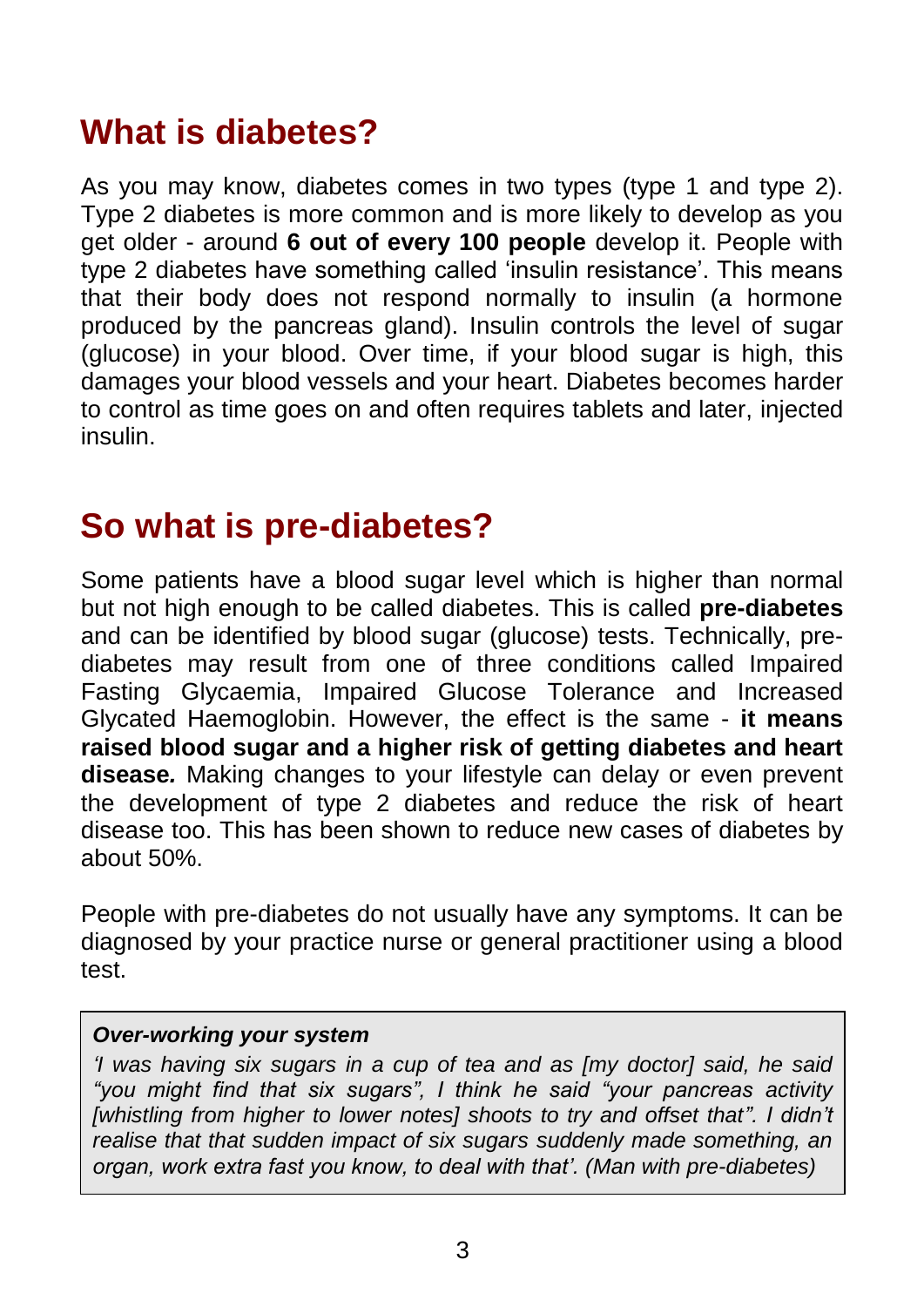# **What is diabetes?**

As you may know, diabetes comes in two types (type 1 and type 2). Type 2 diabetes is more common and is more likely to develop as you get older - around **6 out of every 100 people** develop it. People with type 2 diabetes have something called 'insulin resistance'. This means that their body does not respond normally to insulin (a hormone produced by the pancreas gland). Insulin controls the level of sugar (glucose) in your blood. Over time, if your blood sugar is high, this damages your blood vessels and your heart. Diabetes becomes harder to control as time goes on and often requires tablets and later, injected insulin.

# **So what is pre-diabetes?**

Some patients have a blood sugar level which is higher than normal but not high enough to be called diabetes. This is called **pre-diabetes** and can be identified by blood sugar (glucose) tests. Technically, prediabetes may result from one of three conditions called Impaired Fasting Glycaemia, Impaired Glucose Tolerance and Increased Glycated Haemoglobin. However, the effect is the same - **it means raised blood sugar and a higher risk of getting diabetes and heart disease***.* Making changes to your lifestyle can delay or even prevent the development of type 2 diabetes and reduce the risk of heart disease too. This has been shown to reduce new cases of diabetes by about 50%.

People with pre-diabetes do not usually have any symptoms. It can be diagnosed by your practice nurse or general practitioner using a blood test.

#### *Over-working your system*

*'I was having six sugars in a cup of tea and as [my doctor] said, he said "you might find that six sugars", I think he said "your pancreas activity [whistling from higher to lower notes] shoots to try and offset that". I didn't realise that that sudden impact of six sugars suddenly made something, an organ, work extra fast you know, to deal with that'. (Man with pre-diabetes)*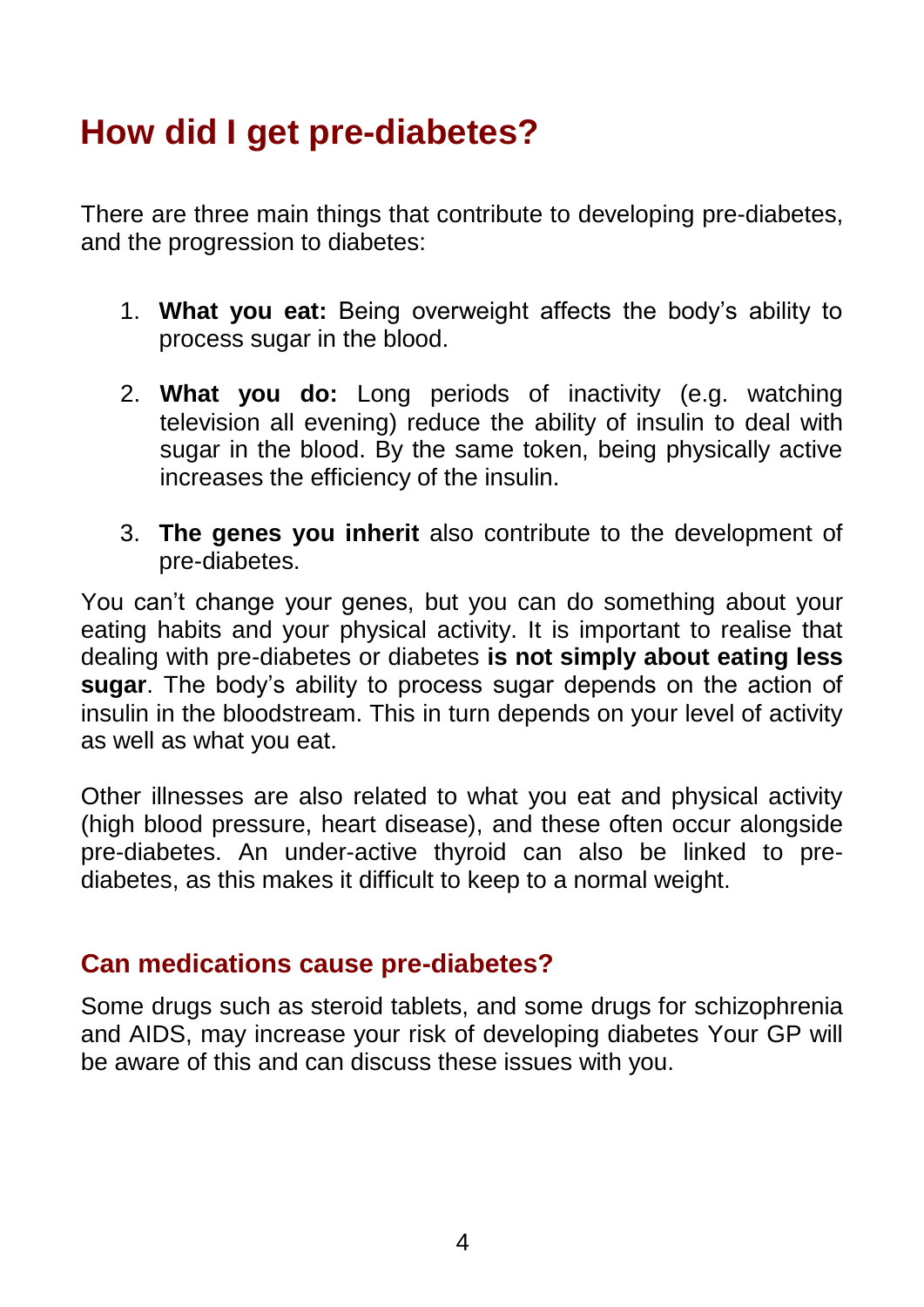# **How did I get pre-diabetes?**

There are three main things that contribute to developing pre-diabetes, and the progression to diabetes:

- 1. **What you eat:** Being overweight affects the body's ability to process sugar in the blood.
- 2. **What you do:** Long periods of inactivity (e.g. watching television all evening) reduce the ability of insulin to deal with sugar in the blood. By the same token, being physically active increases the efficiency of the insulin.
- 3. **The genes you inherit** also contribute to the development of pre-diabetes.

You can't change your genes, but you can do something about your eating habits and your physical activity. It is important to realise that dealing with pre-diabetes or diabetes **is not simply about eating less sugar**. The body's ability to process sugar depends on the action of insulin in the bloodstream. This in turn depends on your level of activity as well as what you eat.

Other illnesses are also related to what you eat and physical activity (high blood pressure, heart disease), and these often occur alongside pre-diabetes. An under-active thyroid can also be linked to prediabetes, as this makes it difficult to keep to a normal weight.

#### **Can medications cause pre-diabetes?**

Some drugs such as steroid tablets, and some drugs for schizophrenia and AIDS, may increase your risk of developing diabetes Your GP will be aware of this and can discuss these issues with you.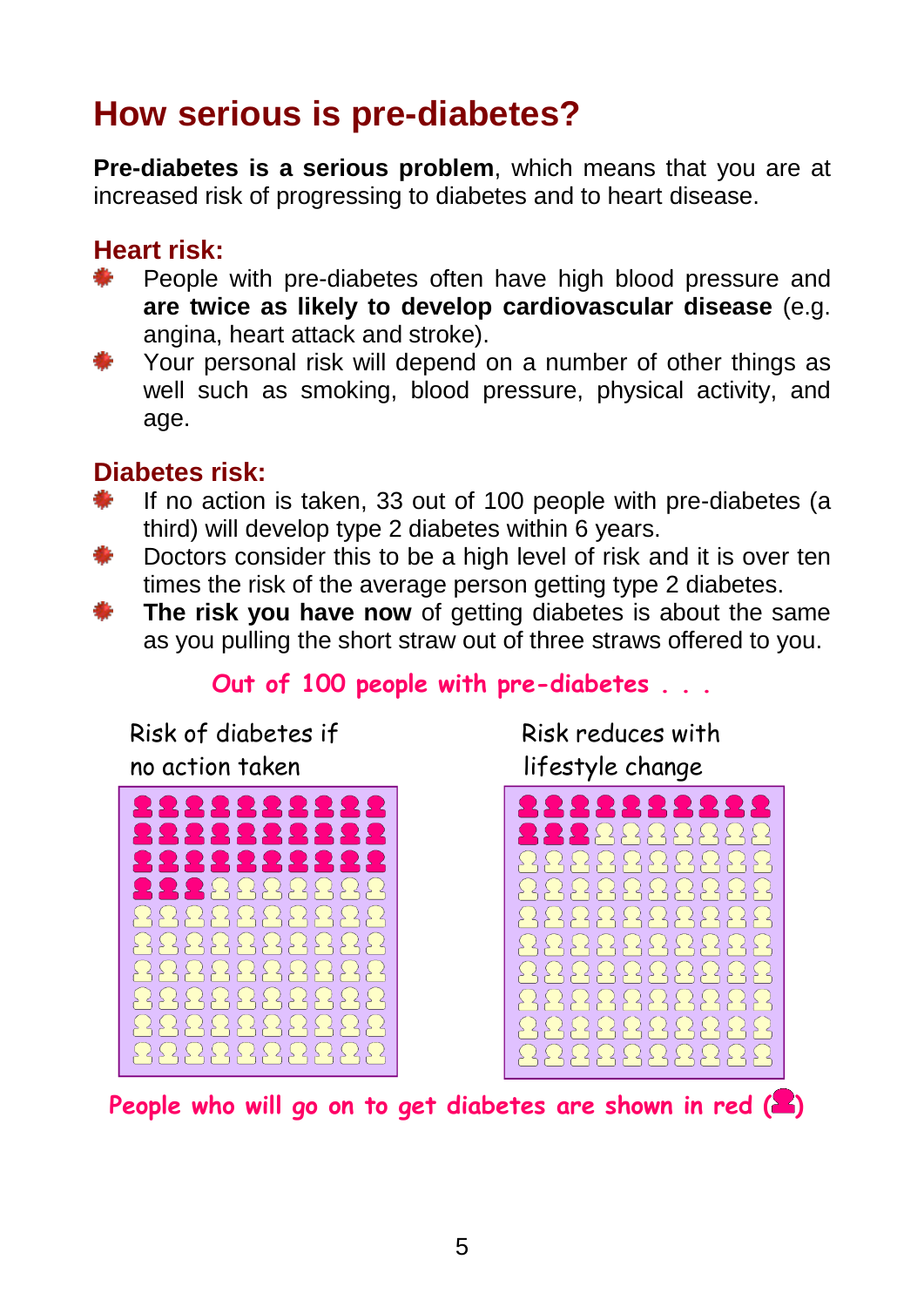# **How serious is pre-diabetes?**

**Pre-diabetes is a serious problem**, which means that you are at increased risk of progressing to diabetes and to heart disease.

### **Heart risk:**

- People with pre-diabetes often have high blood pressure and **are twice as likely to develop cardiovascular disease** (e.g. angina, heart attack and stroke).
- Your personal risk will depend on a number of other things as well such as smoking, blood pressure, physical activity, and age.

### **Diabetes risk:**

- If no action is taken, 33 out of 100 people with pre-diabetes (a third) will develop type 2 diabetes within 6 years.
- Doctors consider this to be a high level of risk and it is over ten times the risk of the average person getting type 2 diabetes.
- **The risk you have now** of getting diabetes is about the same as you pulling the short straw out of three straws offered to you.

### **Out of 100 people with pre-diabetes . . .**

 Risk of diabetes if no action taken



Risk reduces with lifestyle change



**People who will go on to get diabetes are shown in red ( )**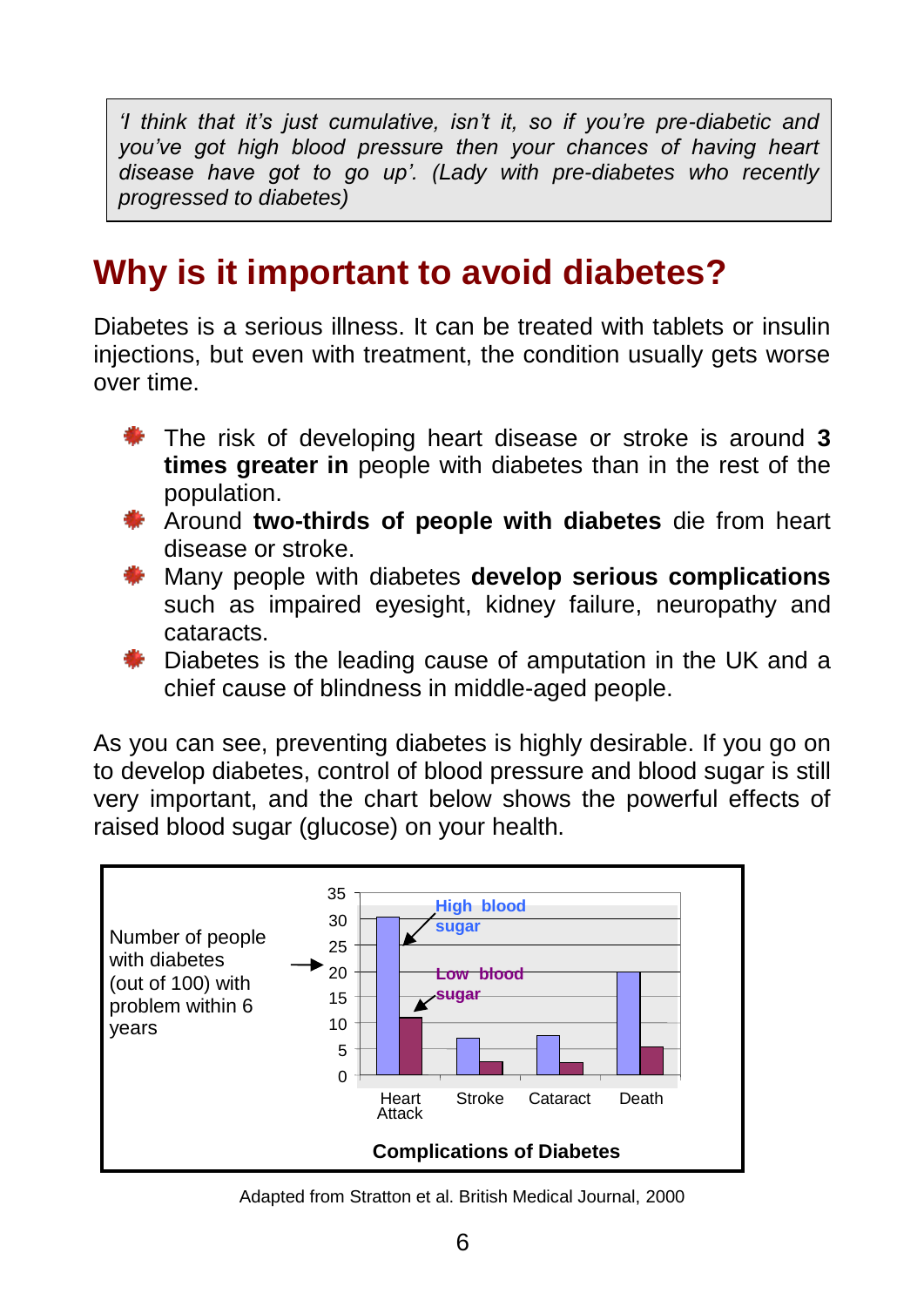*'I think that it's just cumulative, isn't it, so if you're pre-diabetic and you've got high blood pressure then your chances of having heart disease have got to go up'. (Lady with pre-diabetes who recently progressed to diabetes)*

# **Why is it important to avoid diabetes?**

Diabetes is a serious illness. It can be treated with tablets or insulin iniections, but even with treatment, the condition usually gets worse over time.

- The risk of developing heart disease or stroke is around **3 times greater in** people with diabetes than in the rest of the population.
- Around **two-thirds of people with diabetes** die from heart disease or stroke.
- Many people with diabetes **develop serious complications** such as impaired eyesight, kidney failure, neuropathy and cataracts.
- **Diabetes is the leading cause of amputation in the UK and a** chief cause of blindness in middle-aged people.

As you can see, preventing diabetes is highly desirable. If you go on to develop diabetes, control of blood pressure and blood sugar is still very important, and the chart below shows the powerful effects of raised blood sugar (glucose) on your health.



Adapted from Stratton et al. British Medical Journal, 2000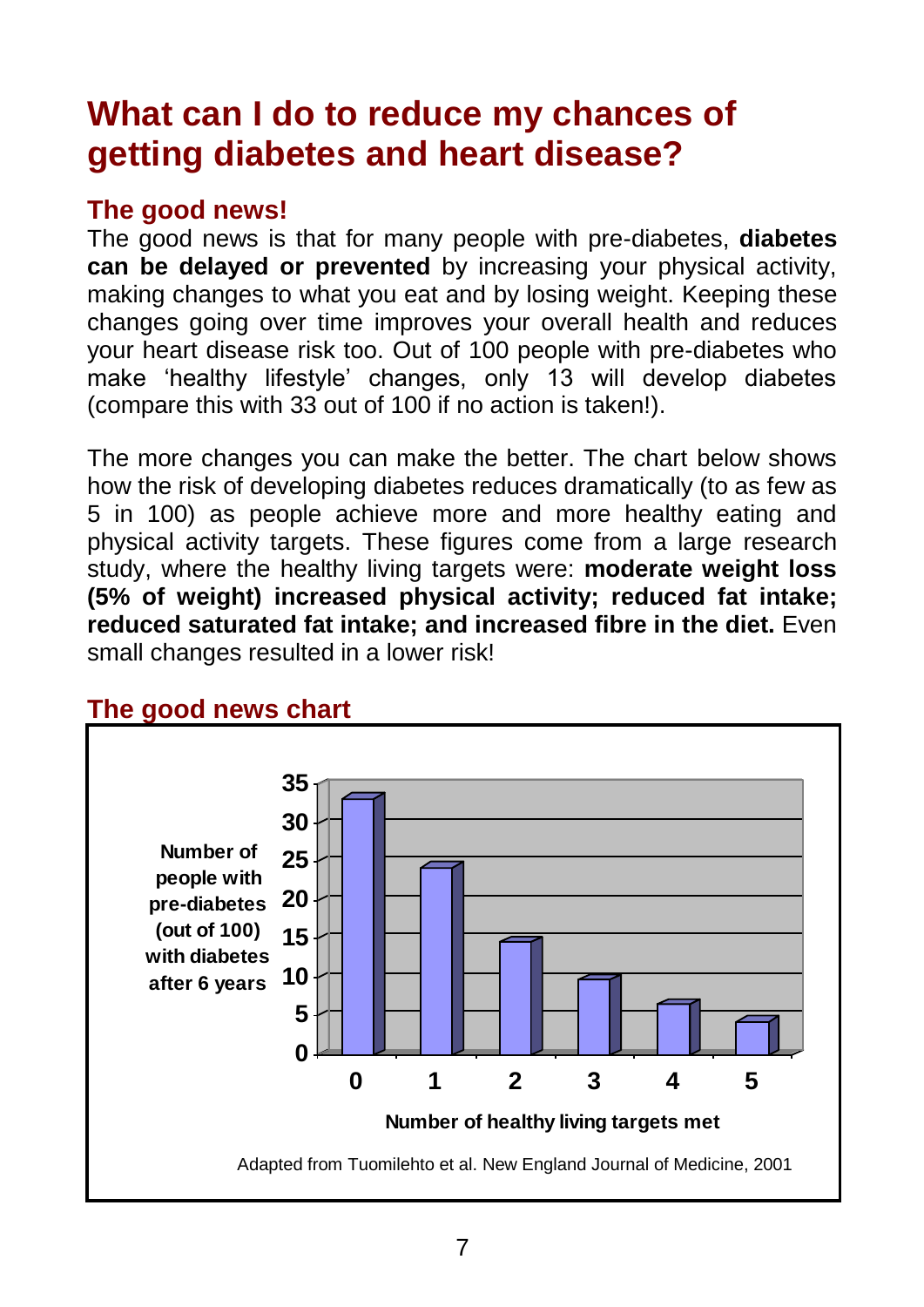# **What can I do to reduce my chances of getting diabetes and heart disease?**

### **The good news!**

The good news is that for many people with pre-diabetes, **diabetes can be delayed or prevented** by increasing your physical activity, making changes to what you eat and by losing weight. Keeping these changes going over time improves your overall health and reduces your heart disease risk too. Out of 100 people with pre-diabetes who make 'healthy lifestyle' changes, only 13 will develop diabetes (compare this with 33 out of 100 if no action is taken!).

The more changes you can make the better. The chart below shows how the risk of developing diabetes reduces dramatically (to as few as 5 in 100) as people achieve more and more healthy eating and physical activity targets. These figures come from a large research study, where the healthy living targets were: **moderate weight loss (5% of weight) increased physical activity; reduced fat intake; reduced saturated fat intake; and increased fibre in the diet.** Even small changes resulted in a lower risk!



### **The good news chart**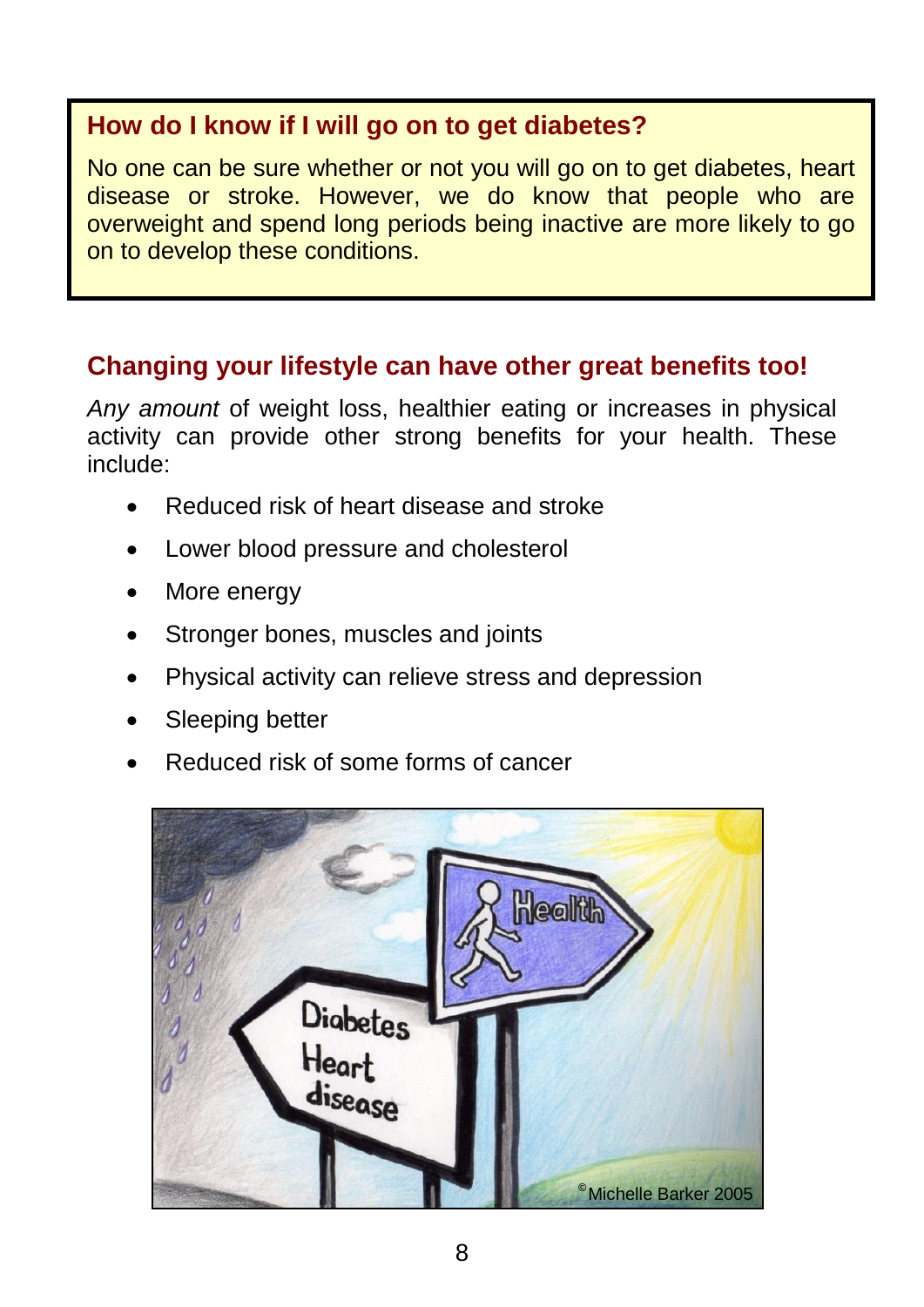### **How do I know if I will go on to get diabetes?**

No one can be sure whether or not you will go on to get diabetes, heart disease or stroke. However, we do know that people who are overweight and spend long periods being inactive are more likely to go on to develop these conditions.

### **Changing your lifestyle can have other great benefits too!**

*Any amount* of weight loss, healthier eating or increases in physical activity can provide other strong benefits for your health. These include:

- Reduced risk of heart disease and stroke
- Lower blood pressure and cholesterol
- More energy
- Stronger bones, muscles and joints
- Physical activity can relieve stress and depression
- Sleeping better
- Reduced risk of some forms of cancer

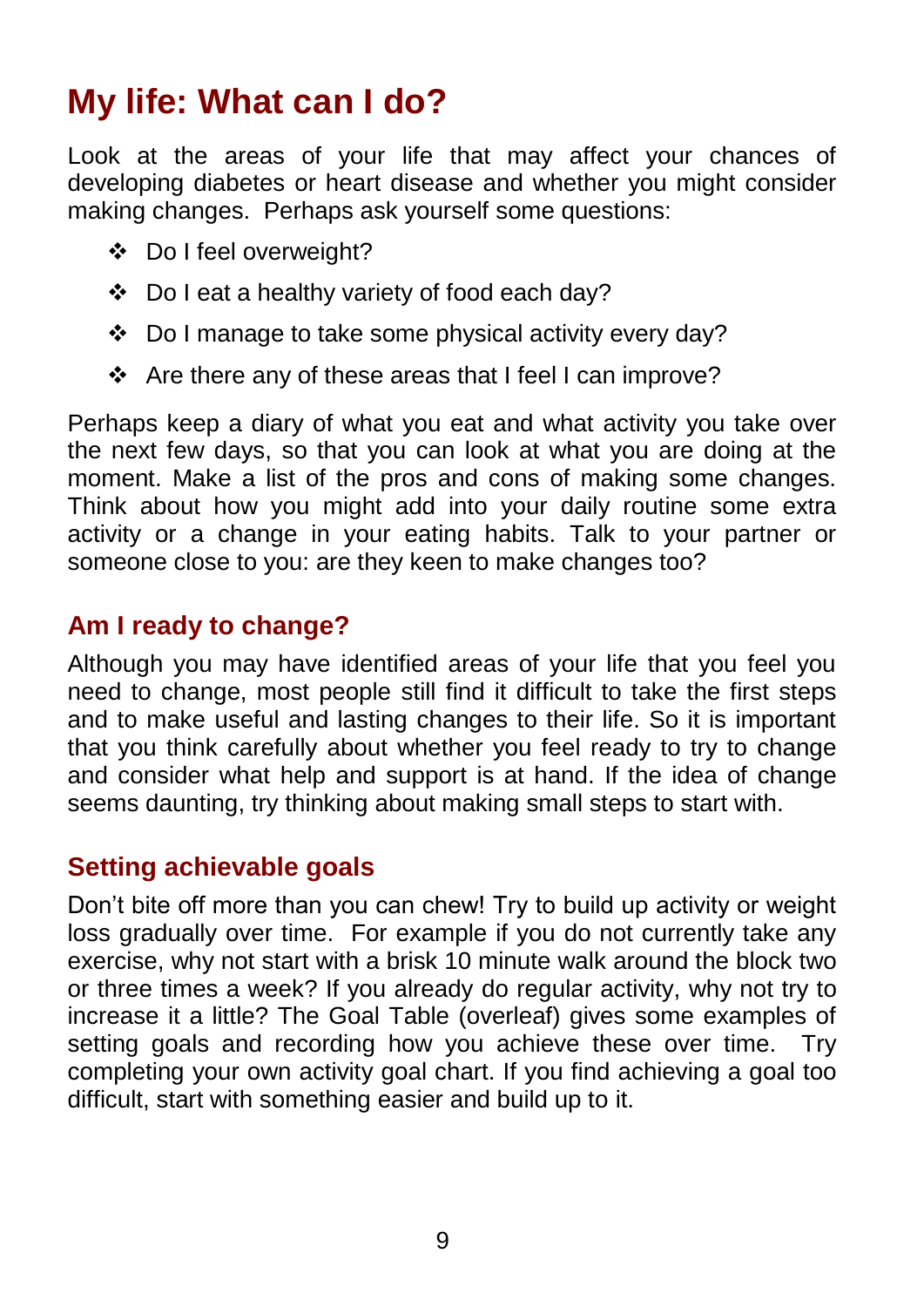# **My life: What can I do?**

Look at the areas of your life that may affect your chances of developing diabetes or heart disease and whether you might consider making changes. Perhaps ask yourself some questions:

- Do I feel overweight?
- Do I eat a healthy variety of food each day?
- Do I manage to take some physical activity every day?
- Are there any of these areas that I feel I can improve?

Perhaps keep a diary of what you eat and what activity you take over the next few days, so that you can look at what you are doing at the moment. Make a list of the pros and cons of making some changes. Think about how you might add into your daily routine some extra activity or a change in your eating habits. Talk to your partner or someone close to you: are they keen to make changes too?

### **Am I ready to change?**

Although you may have identified areas of your life that you feel you need to change, most people still find it difficult to take the first steps and to make useful and lasting changes to their life. So it is important that you think carefully about whether you feel ready to try to change and consider what help and support is at hand. If the idea of change seems daunting, try thinking about making small steps to start with.

#### **Setting achievable goals**

Don't bite off more than you can chew! Try to build up activity or weight loss gradually over time. For example if you do not currently take any exercise, why not start with a brisk 10 minute walk around the block two or three times a week? If you already do regular activity, why not try to increase it a little? The Goal Table (overleaf) gives some examples of setting goals and recording how you achieve these over time. Try completing your own activity goal chart. If you find achieving a goal too difficult, start with something easier and build up to it.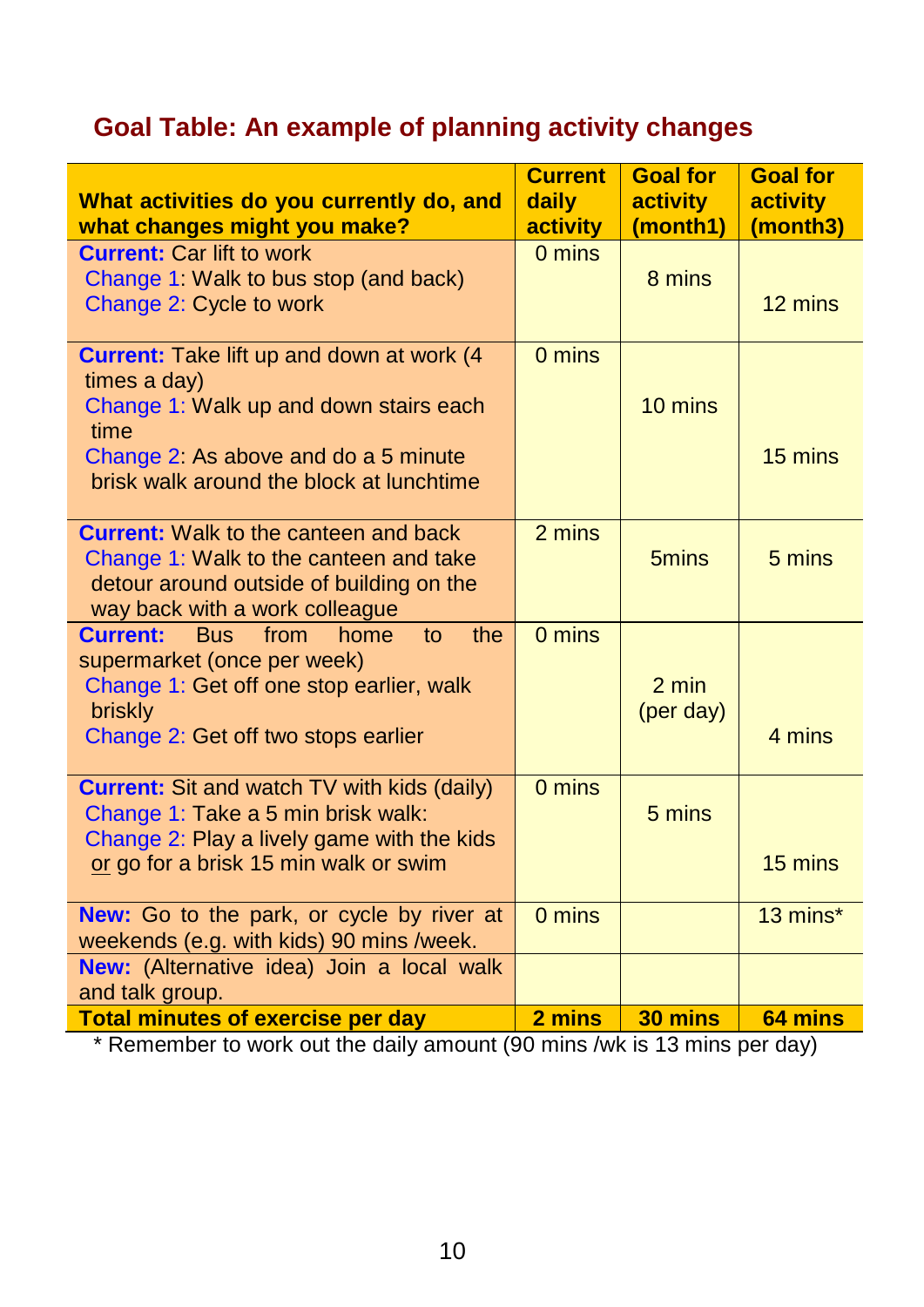# **Goal Table: An example of planning activity changes**

| What activities do you currently do, and<br>what changes might you make?                                                                                                                                                  | <b>Current</b><br>daily<br>activity | <b>Goal for</b><br><b>activity</b><br>(month1) | <b>Goal for</b><br><b>activity</b><br>(month3) |
|---------------------------------------------------------------------------------------------------------------------------------------------------------------------------------------------------------------------------|-------------------------------------|------------------------------------------------|------------------------------------------------|
| <b>Current: Car lift to work</b><br>Change 1: Walk to bus stop (and back)<br>Change 2: Cycle to work                                                                                                                      | 0 mins                              | 8 mins                                         | 12 mins                                        |
| <b>Current: Take lift up and down at work (4)</b><br>times a day)<br>Change 1: Walk up and down stairs each<br>time<br>Change 2: As above and do a 5 minute                                                               | 0 mins                              | 10 mins                                        | 15 mins                                        |
| brisk walk around the block at lunchtime<br><b>Current:</b> Walk to the canteen and back<br>Change 1: Walk to the canteen and take<br>detour around outside of building on the                                            | 2 mins                              | 5 <sub>mins</sub>                              | 5 mins                                         |
| way back with a work colleague<br><b>Current:</b><br><b>Bus</b><br>from<br>home<br>to<br>the<br>supermarket (once per week)<br>Change 1: Get off one stop earlier, walk<br>briskly<br>Change 2: Get off two stops earlier | 0 mins                              | $2 \text{ min}$<br>(per day)                   | 4 mins                                         |
| <b>Current:</b> Sit and watch TV with kids (daily)<br>Change 1: Take a 5 min brisk walk:<br>Change 2: Play a lively game with the kids<br>or go for a brisk 15 min walk or swim                                           | 0 mins                              | 5 mins                                         | 15 mins                                        |
| New: Go to the park, or cycle by river at<br>weekends (e.g. with kids) 90 mins /week.                                                                                                                                     | 0 mins                              |                                                | 13 mins*                                       |
| New: (Alternative idea) Join a local walk<br>and talk group.                                                                                                                                                              |                                     |                                                |                                                |
| <b>Total minutes of exercise per day</b>                                                                                                                                                                                  | 2 mins                              | 30 mins                                        | 64 mins                                        |

\* Remember to work out the daily amount (90 mins /wk is 13 mins per day)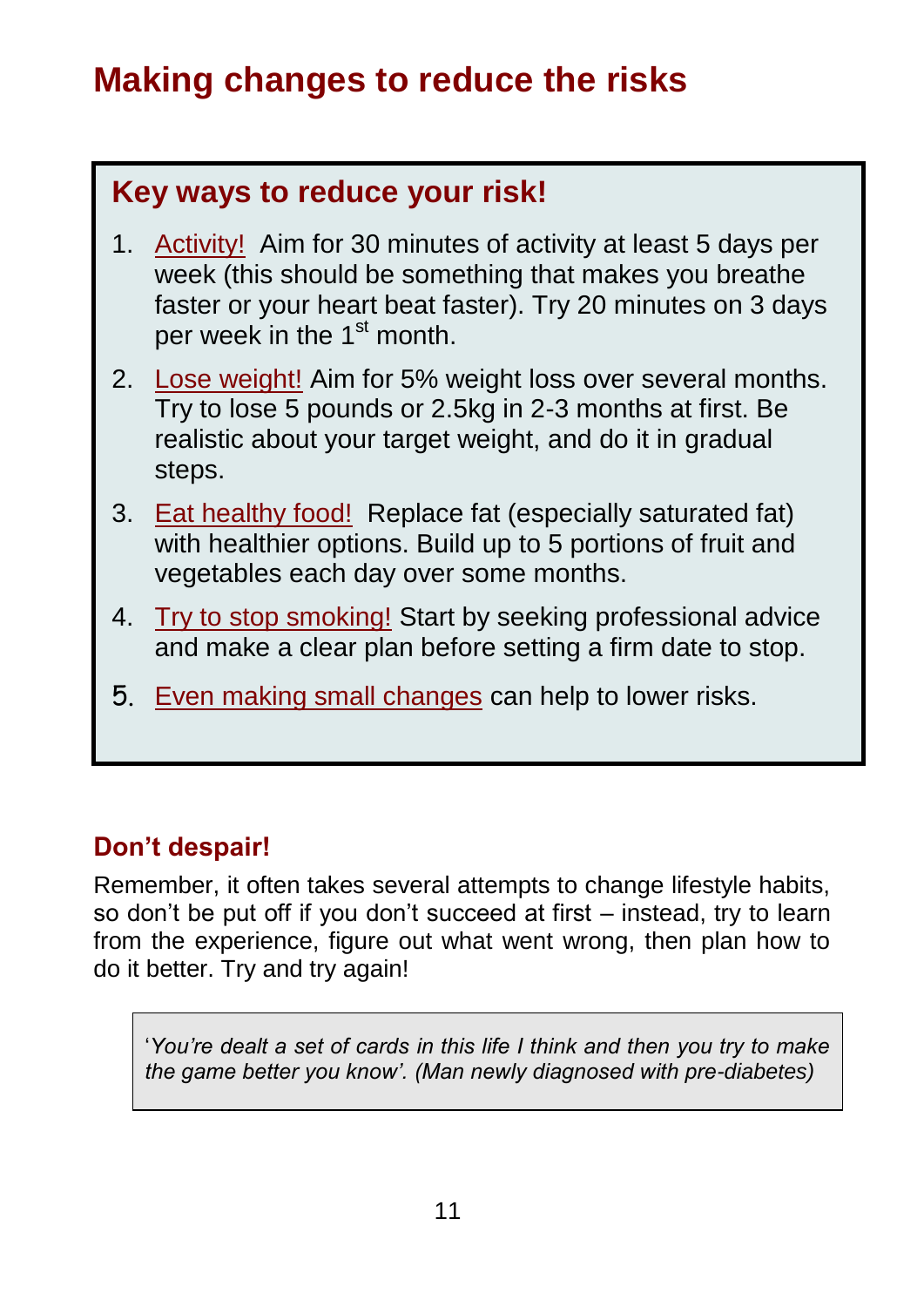# **Making changes to reduce the risks**

### **Key ways to reduce your risk!**

- 1. Activity! Aim for 30 minutes of activity at least 5 days per week (this should be something that makes you breathe faster or your heart beat faster). Try 20 minutes on 3 days per week in the 1<sup>st</sup> month.
- 2. Lose weight! Aim for 5% weight loss over several months. Try to lose 5 pounds or 2.5kg in 2-3 months at first. Be realistic about your target weight, and do it in gradual steps.
- 3. Eat healthy food! Replace fat (especially saturated fat) with healthier options. Build up to 5 portions of fruit and vegetables each day over some months.
- 4. Try to stop smoking! Start by seeking professional advice and make a clear plan before setting a firm date to stop.
- 5. Even making small changes can help to lower risks.

### **Don't despair!**

Remember, it often takes several attempts to change lifestyle habits, so don't be put off if you don't succeed at first – instead, try to learn from the experience, figure out what went wrong, then plan how to do it better. Try and try again!

'*You're dealt a set of cards in this life I think and then you try to make the game better you know'. (Man newly diagnosed with pre-diabetes)*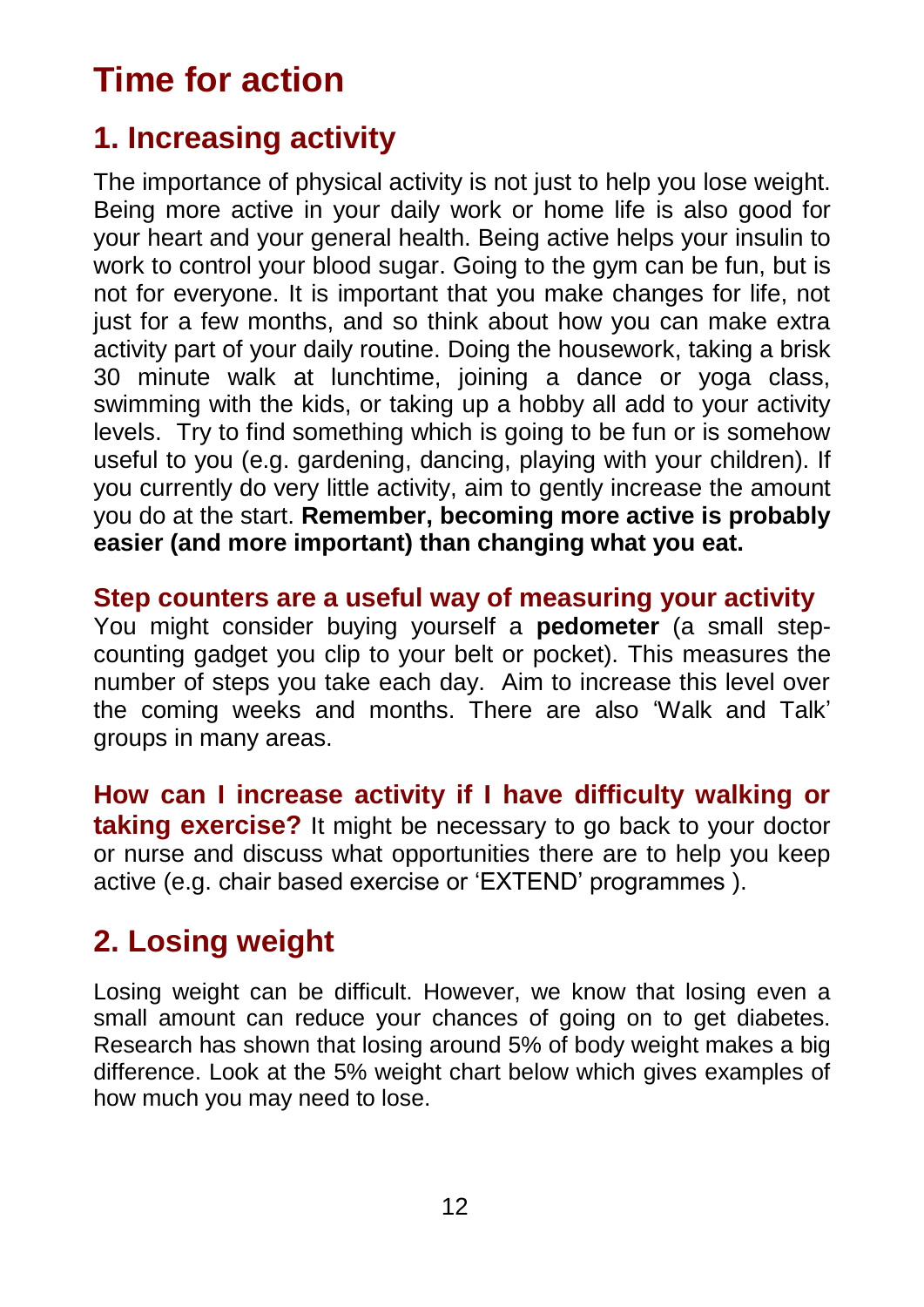# **Time for action**

### **1. Increasing activity**

The importance of physical activity is not just to help you lose weight. Being more active in your daily work or home life is also good for your heart and your general health. Being active helps your insulin to work to control your blood sugar. Going to the gym can be fun, but is not for everyone. It is important that you make changes for life, not just for a few months, and so think about how you can make extra activity part of your daily routine. Doing the housework, taking a brisk 30 minute walk at lunchtime, joining a dance or yoga class, swimming with the kids, or taking up a hobby all add to your activity levels. Try to find something which is going to be fun or is somehow useful to you (e.g. gardening, dancing, playing with your children). If you currently do very little activity, aim to gently increase the amount you do at the start. **Remember, becoming more active is probably easier (and more important) than changing what you eat.**

### **Step counters are a useful way of measuring your activity**

You might consider buying yourself a **pedometer** (a small stepcounting gadget you clip to your belt or pocket). This measures the number of steps you take each day. Aim to increase this level over the coming weeks and months. There are also 'Walk and Talk' groups in many areas.

**How can I increase activity if I have difficulty walking or taking exercise?** It might be necessary to go back to your doctor or nurse and discuss what opportunities there are to help you keep active (e.g. chair based exercise or 'EXTEND' programmes ).

### **2. Losing weight**

Losing weight can be difficult. However, we know that losing even a small amount can reduce your chances of going on to get diabetes. Research has shown that losing around 5% of body weight makes a big difference. Look at the 5% weight chart below which gives examples of how much you may need to lose.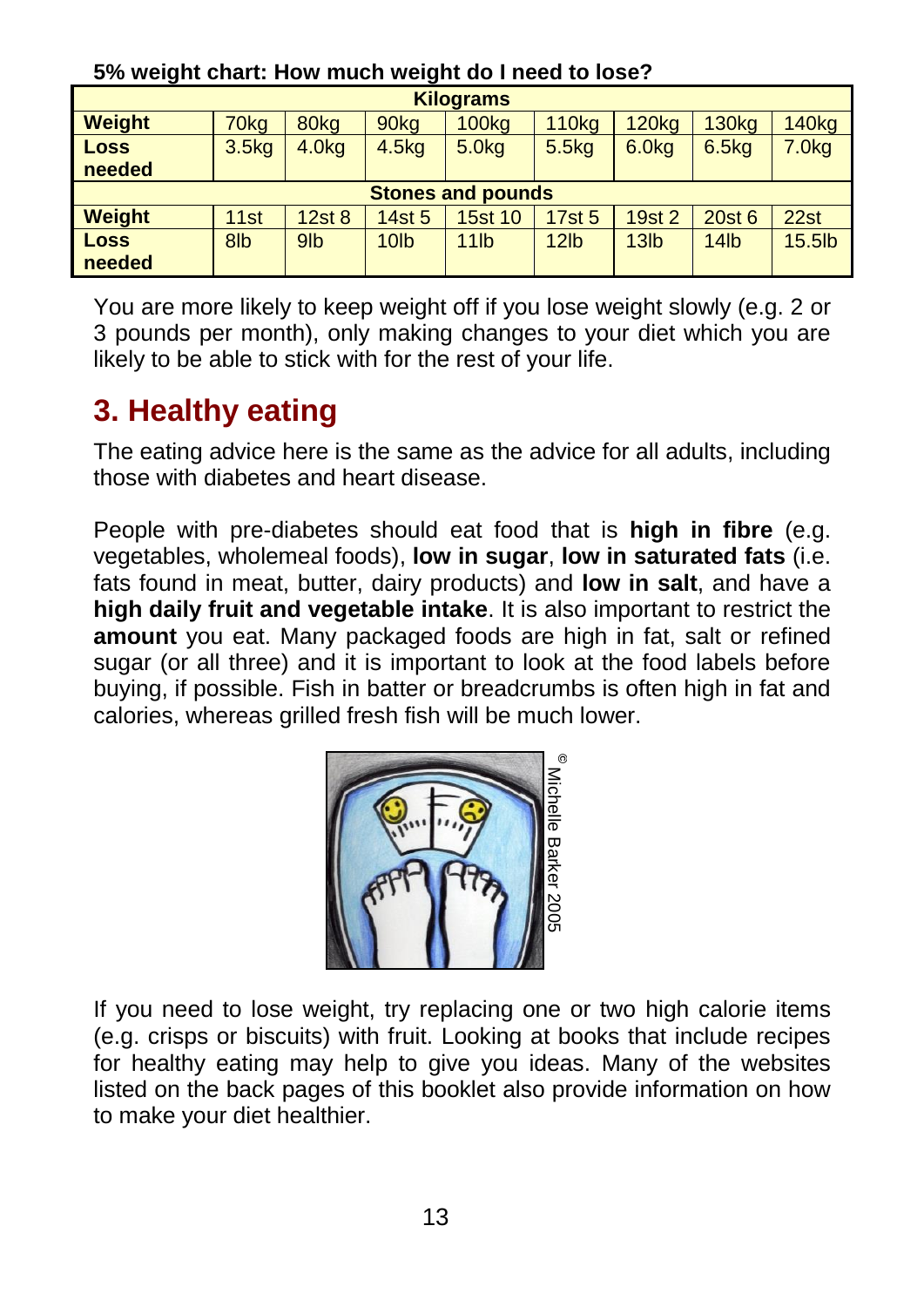| <b>Kilograms</b>         |                  |                   |                   |                   |                   |                   |                   |                   |
|--------------------------|------------------|-------------------|-------------------|-------------------|-------------------|-------------------|-------------------|-------------------|
| <b>Weight</b>            | 70 <sub>kg</sub> | 80kg              | 90 <sub>kg</sub>  | 100 <sub>kq</sub> | <b>110kg</b>      | <b>120kg</b>      | <b>130kg</b>      | <b>140kg</b>      |
| <b>Loss</b>              | 3.5kg            | 4.0 <sub>kq</sub> | 4.5 <sub>kq</sub> | 5.0 <sub>kq</sub> | 5.5 <sub>kq</sub> | 6.0 <sub>kq</sub> | 6.5 <sub>kq</sub> | 7.0 <sub>kq</sub> |
| needed                   |                  |                   |                   |                   |                   |                   |                   |                   |
| <b>Stones and pounds</b> |                  |                   |                   |                   |                   |                   |                   |                   |
| <b>Weight</b>            | 11 <sub>st</sub> | 12st8             | 14st 5            | <b>15st 10</b>    | 17st 5            | 19st 2            | 20st 6            | 22st              |
| <b>Loss</b>              | 8lb              | 9 <sub>lb</sub>   | 10 <sub>lb</sub>  | 11 <sub>lb</sub>  | 12 <sub>lb</sub>  | 13 <sub>lb</sub>  | 14 <sub>lb</sub>  | $15.5$ lb         |
| needed                   |                  |                   |                   |                   |                   |                   |                   |                   |

#### **5% weight chart: How much weight do I need to lose?**

You are more likely to keep weight off if you lose weight slowly (e.g. 2 or 3 pounds per month), only making changes to your diet which you are likely to be able to stick with for the rest of your life.

### **3. Healthy eating**

The eating advice here is the same as the advice for all adults, including those with diabetes and heart disease.

People with pre-diabetes should eat food that is **high in fibre** (e.g. vegetables, wholemeal foods), **low in sugar**, **low in saturated fats** (i.e. fats found in meat, butter, dairy products) and **low in salt**, and have a **high daily fruit and vegetable intake**. It is also important to restrict the **amount** you eat. Many packaged foods are high in fat, salt or refined sugar (or all three) and it is important to look at the food labels before buying, if possible. Fish in batter or breadcrumbs is often high in fat and calories, whereas grilled fresh fish will be much lower.



If you need to lose weight, try replacing one or two high calorie items (e.g. crisps or biscuits) with fruit. Looking at books that include recipes for healthy eating may help to give you ideas. Many of the websites listed on the back pages of this booklet also provide information on how to make your diet healthier.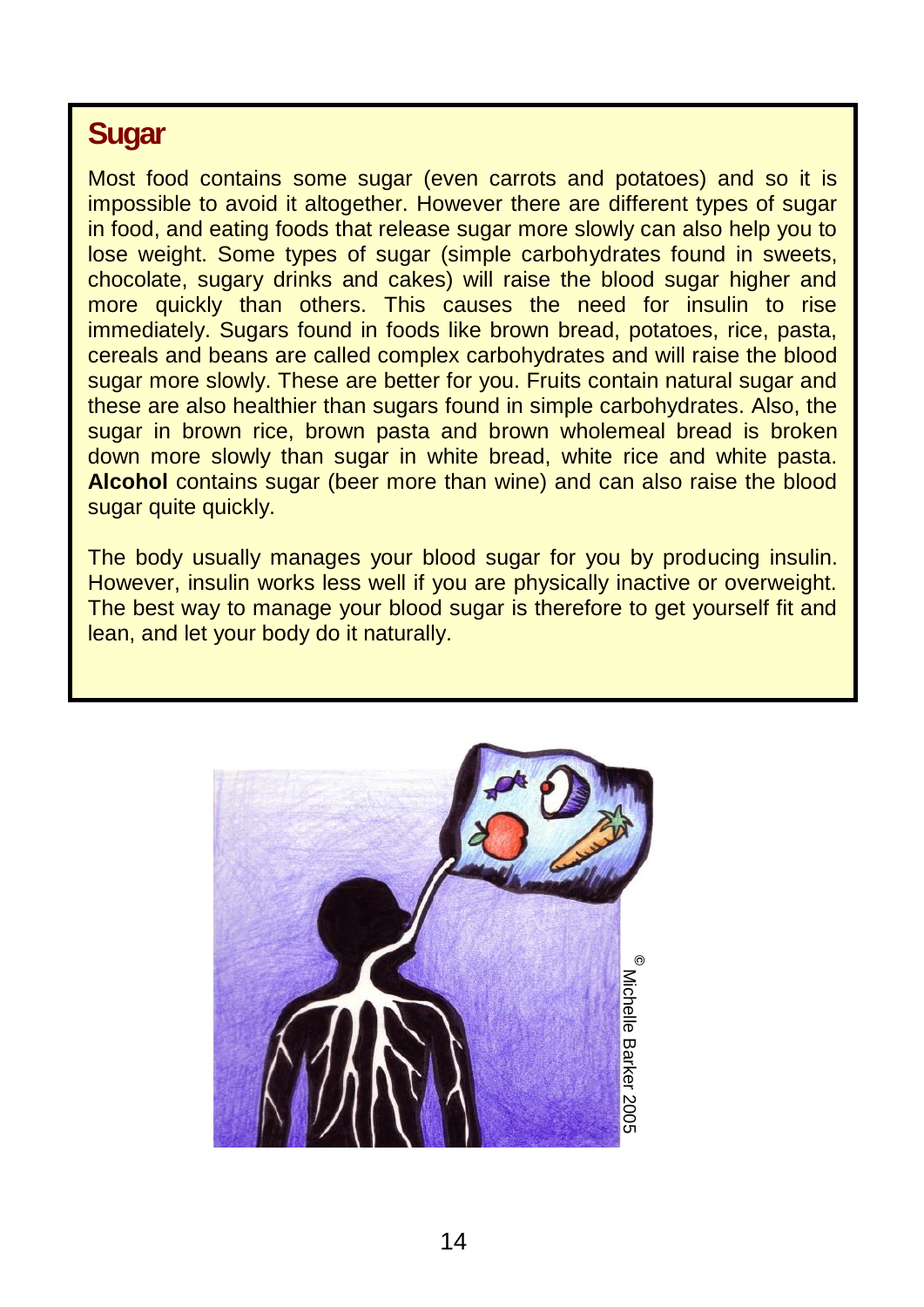### **Sugar**

Most food contains some sugar (even carrots and potatoes) and so it is impossible to avoid it altogether. However there are different types of sugar in food, and eating foods that release sugar more slowly can also help you to lose weight. Some types of sugar (simple carbohydrates found in sweets, chocolate, sugary drinks and cakes) will raise the blood sugar higher and more quickly than others. This causes the need for insulin to rise immediately. Sugars found in foods like brown bread, potatoes, rice, pasta, cereals and beans are called complex carbohydrates and will raise the blood sugar more slowly. These are better for you. Fruits contain natural sugar and these are also healthier than sugars found in simple carbohydrates. Also, the sugar in brown rice, brown pasta and brown wholemeal bread is broken down more slowly than sugar in white bread, white rice and white pasta. **Alcohol** contains sugar (beer more than wine) and can also raise the blood sugar quite quickly.

The body usually manages your blood sugar for you by producing insulin. However, insulin works less well if you are physically inactive or overweight. The best way to manage your blood sugar is therefore to get yourself fit and lean, and let your body do it naturally.

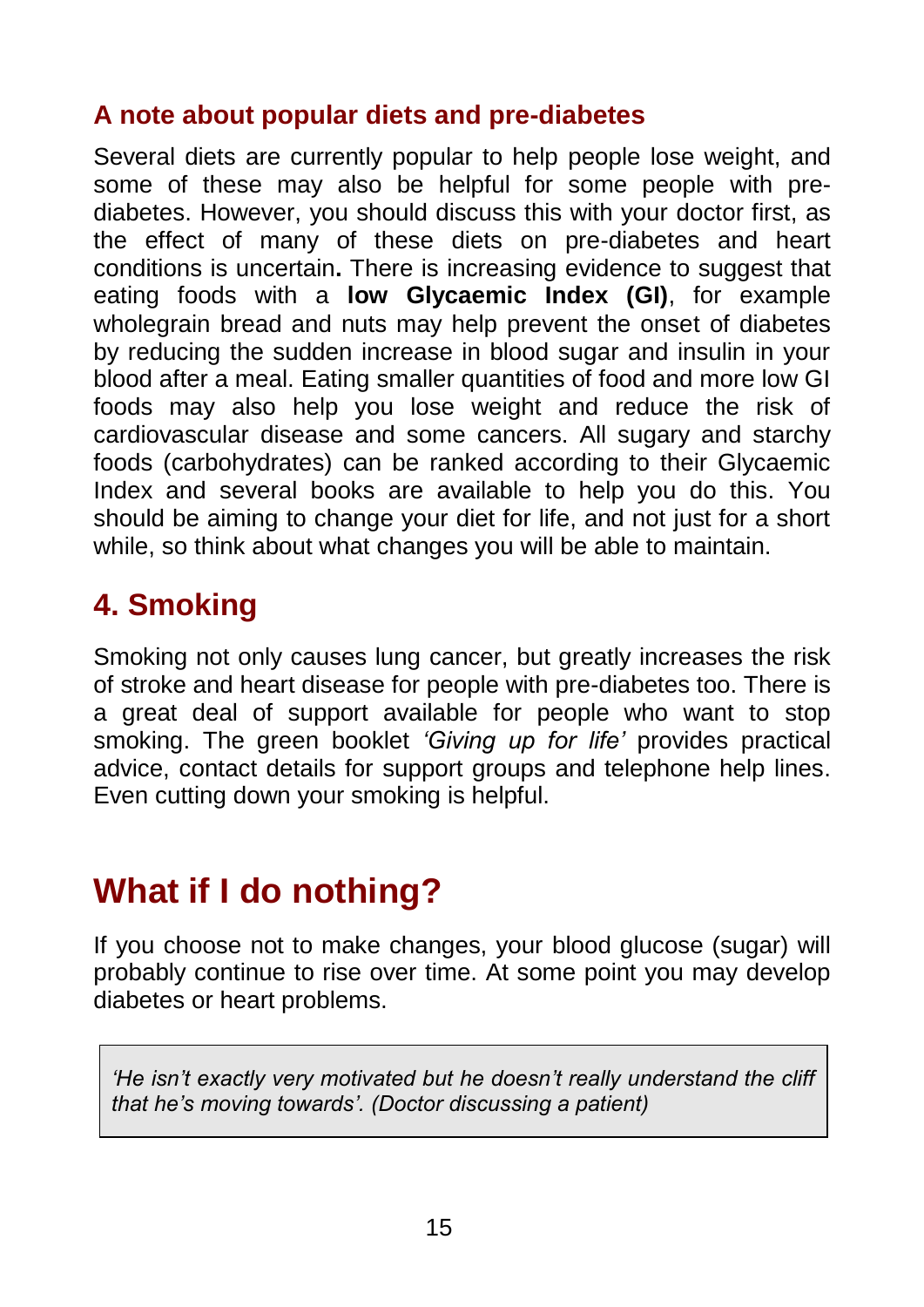### **A note about popular diets and pre-diabetes**

Several diets are currently popular to help people lose weight, and some of these may also be helpful for some people with prediabetes. However, you should discuss this with your doctor first, as the effect of many of these diets on pre-diabetes and heart conditions is uncertain**.** There is increasing evidence to suggest that eating foods with a **low Glycaemic Index (GI)**, for example wholegrain bread and nuts may help prevent the onset of diabetes by reducing the sudden increase in blood sugar and insulin in your blood after a meal. Eating smaller quantities of food and more low GI foods may also help you lose weight and reduce the risk of cardiovascular disease and some cancers. All sugary and starchy foods (carbohydrates) can be ranked according to their Glycaemic Index and several books are available to help you do this. You should be aiming to change your diet for life, and not just for a short while, so think about what changes you will be able to maintain.

## **4. Smoking**

Smoking not only causes lung cancer, but greatly increases the risk of stroke and heart disease for people with pre-diabetes too. There is a great deal of support available for people who want to stop smoking. The green booklet *'Giving up for life'* provides practical advice, contact details for support groups and telephone help lines. Even cutting down your smoking is helpful.

# **What if I do nothing?**

If you choose not to make changes, your blood glucose (sugar) will probably continue to rise over time. At some point you may develop diabetes or heart problems.

*'He isn't exactly very motivated but he doesn't really understand the cliff that he's moving towards'. (Doctor discussing a patient)*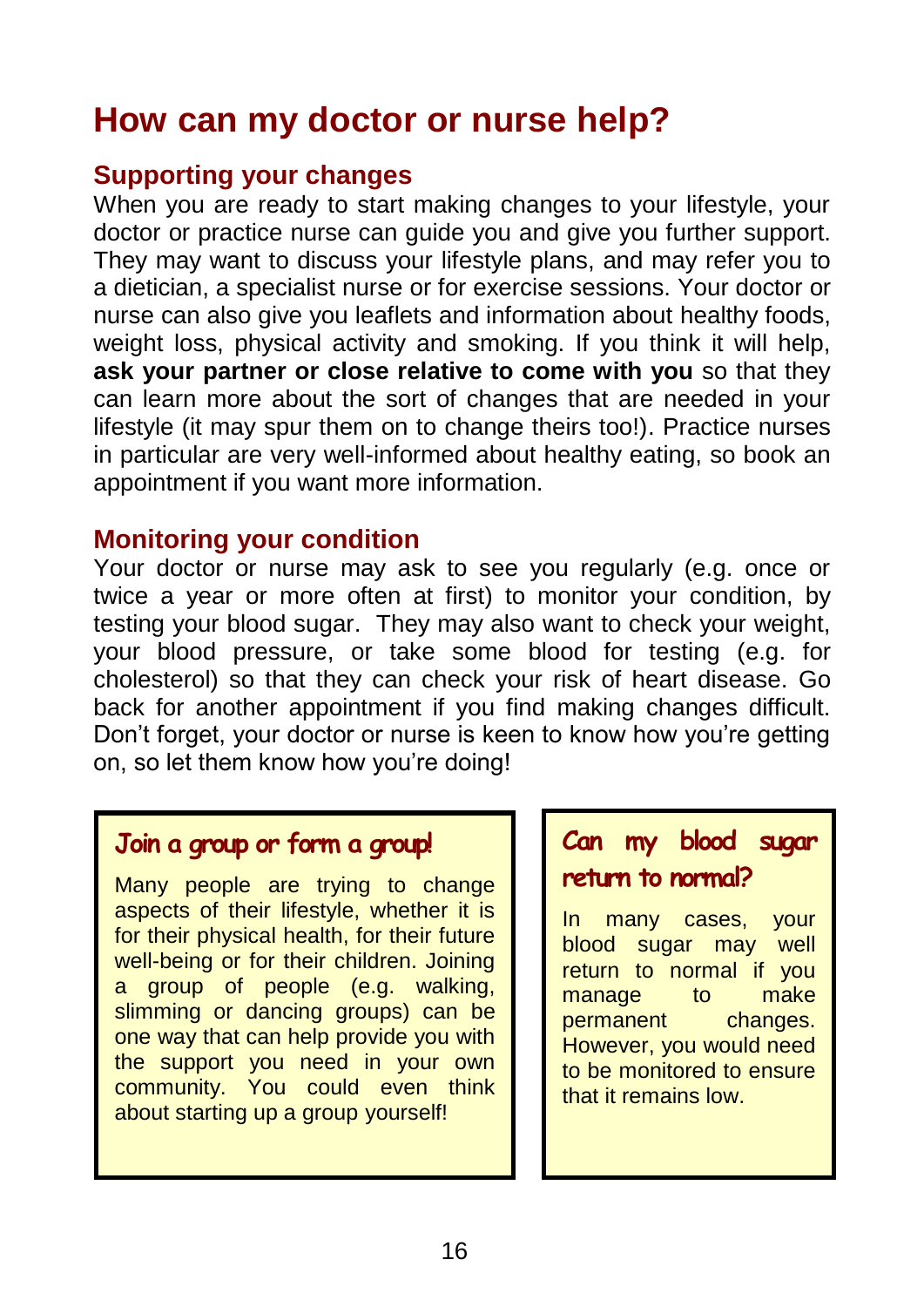# **How can my doctor or nurse help?**

#### **Supporting your changes**

When you are ready to start making changes to your lifestyle, your doctor or practice nurse can guide you and give you further support. They may want to discuss your lifestyle plans, and may refer you to a dietician, a specialist nurse or for exercise sessions. Your doctor or nurse can also give you leaflets and information about healthy foods, weight loss, physical activity and smoking. If you think it will help, **ask your partner or close relative to come with you** so that they can learn more about the sort of changes that are needed in your lifestyle (it may spur them on to change theirs too!). Practice nurses in particular are very well-informed about healthy eating, so book an appointment if you want more information.

#### **Monitoring your condition**

Your doctor or nurse may ask to see you regularly (e.g. once or twice a year or more often at first) to monitor your condition, by testing your blood sugar. They may also want to check your weight, your blood pressure, or take some blood for testing (e.g. for cholesterol) so that they can check your risk of heart disease. Go back for another appointment if you find making changes difficult. Don't forget, your doctor or nurse is keen to know how you're getting on, so let them know how you're doing!

### **Join a group or form a group!**

Many people are trying to change aspects of their lifestyle, whether it is for their physical health, for their future well-being or for their children. Joining a group of people (e.g. walking, slimming or dancing groups) can be one way that can help provide you with the support you need in your own community. You could even think about starting up a group yourself!

### **Can my blood sugar return to normal?**

In many cases, your blood sugar may well return to normal if you manage to make permanent changes. However, you would need to be monitored to ensure that it remains low.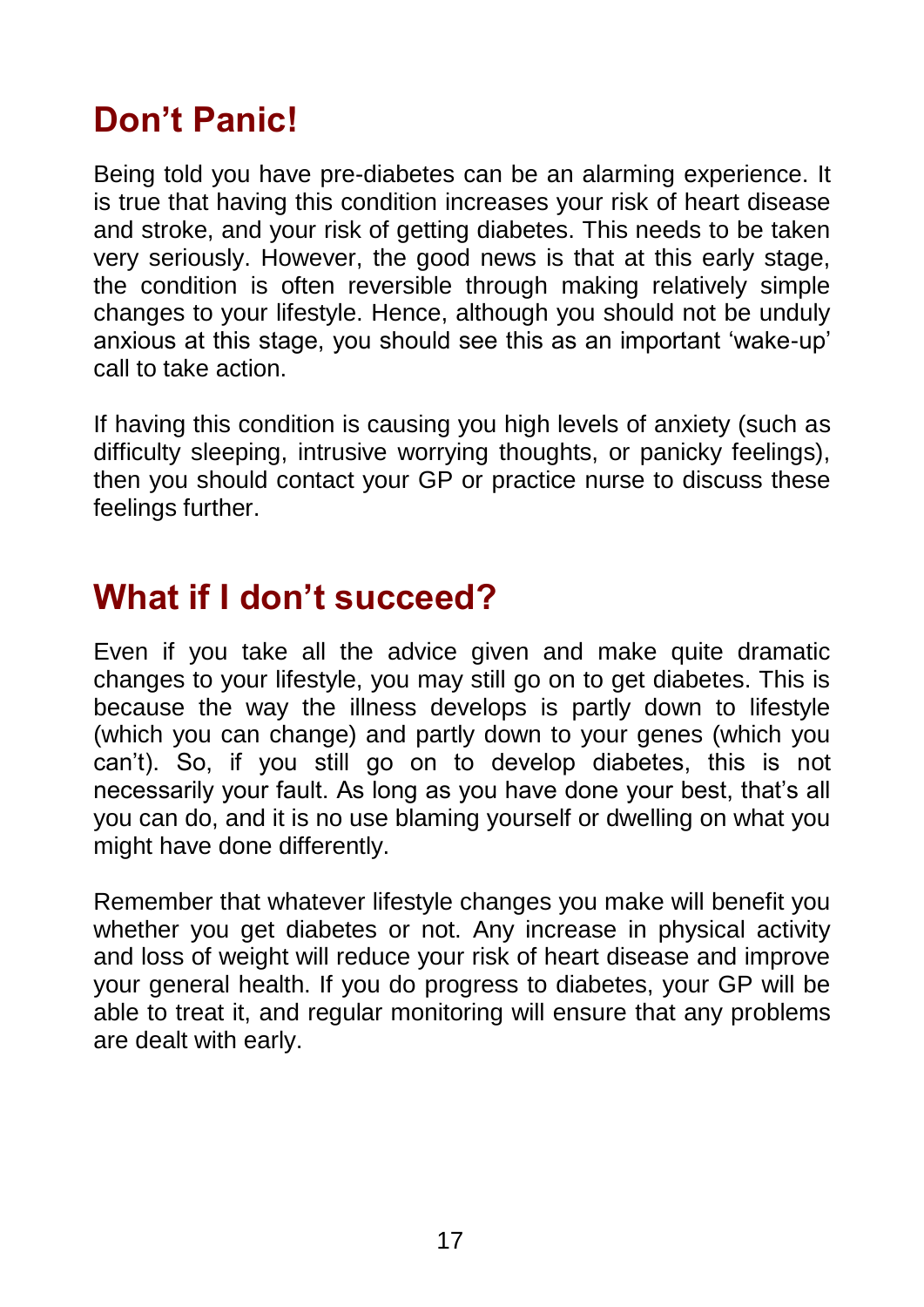# **Don't Panic!**

Being told you have pre-diabetes can be an alarming experience. It is true that having this condition increases your risk of heart disease and stroke, and your risk of getting diabetes. This needs to be taken very seriously. However, the good news is that at this early stage, the condition is often reversible through making relatively simple changes to your lifestyle. Hence, although you should not be unduly anxious at this stage, you should see this as an important 'wake-up' call to take action.

If having this condition is causing you high levels of anxiety (such as difficulty sleeping, intrusive worrying thoughts, or panicky feelings), then you should contact your GP or practice nurse to discuss these feelings further.

# **What if I don't succeed?**

Even if you take all the advice given and make quite dramatic changes to your lifestyle, you may still go on to get diabetes. This is because the way the illness develops is partly down to lifestyle (which you can change) and partly down to your genes (which you can't). So, if you still go on to develop diabetes, this is not necessarily your fault. As long as you have done your best, that's all you can do, and it is no use blaming yourself or dwelling on what you might have done differently.

Remember that whatever lifestyle changes you make will benefit you whether you get diabetes or not. Any increase in physical activity and loss of weight will reduce your risk of heart disease and improve your general health. If you do progress to diabetes, your GP will be able to treat it, and regular monitoring will ensure that any problems are dealt with early.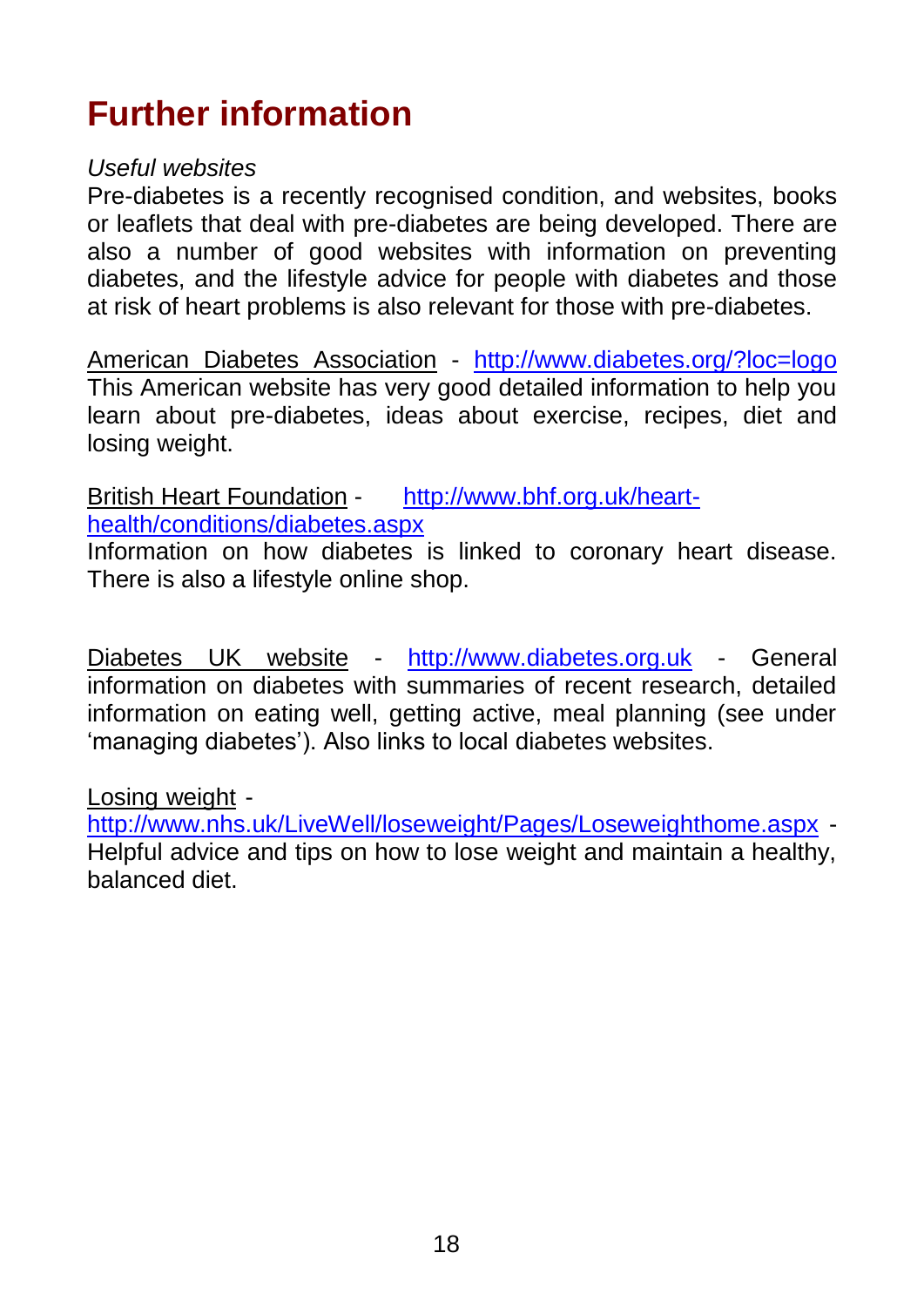# **Further information**

#### *Useful websites*

Pre-diabetes is a recently recognised condition, and websites, books or leaflets that deal with pre-diabetes are being developed. There are also a number of good websites with information on preventing diabetes, and the lifestyle advice for people with diabetes and those at risk of heart problems is also relevant for those with pre-diabetes.

American Diabetes Association - <http://www.diabetes.org/?loc=logo> This American website has very good detailed information to help you learn about pre-diabetes, ideas about exercise, recipes, diet and losing weight.

British Heart Foundation - [http://www.bhf.org.uk/heart](http://www.bhf.org.uk/heart-health/conditions/diabetes.aspx)[health/conditions/diabetes.aspx](http://www.bhf.org.uk/heart-health/conditions/diabetes.aspx)

Information on how diabetes is linked to coronary heart disease. There is also a lifestyle online shop.

Diabetes UK website - [http://www.diabetes.org.uk](http://www.diabetes.co.uk/) - General information on diabetes with summaries of recent research, detailed information on eating well, getting active, meal planning (see under 'managing diabetes'). Also links to local diabetes websites.

Losing weight -

<http://www.nhs.uk/LiveWell/loseweight/Pages/Loseweighthome.aspx> - Helpful advice and tips on how to lose weight and maintain a healthy, balanced diet.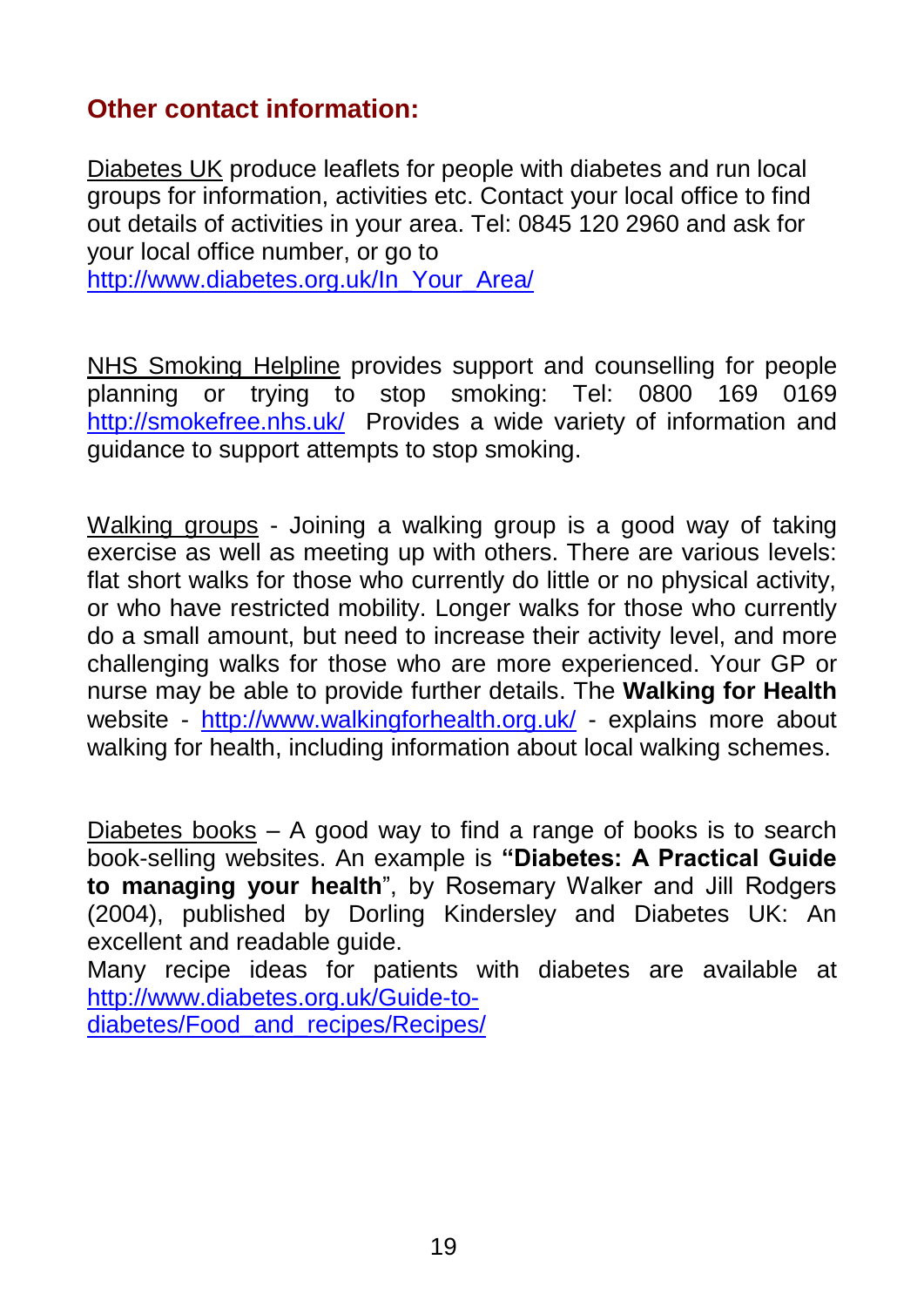### **Other contact information:**

Diabetes UK produce leaflets for people with diabetes and run local groups for information, activities etc. Contact your local office to find out details of activities in your area. Tel: 0845 120 2960 and ask for your local office number, or go to [http://www.diabetes.org.uk/In\\_Your\\_Area/](http://www.diabetes.org.uk/In_Your_Area/)

NHS Smoking Helpline provides support and counselling for people planning or trying to stop smoking: Tel: 0800 169 0169 <http://smokefree.nhs.uk/>Provides a wide variety of information and guidance to support attempts to stop smoking.

Walking groups - Joining a walking group is a good way of taking exercise as well as meeting up with others. There are various levels: flat short walks for those who currently do little or no physical activity, or who have restricted mobility. Longer walks for those who currently do a small amount, but need to increase their activity level, and more challenging walks for those who are more experienced. Your GP or nurse may be able to provide further details. The **Walking for Health** website - <http://www.walkingforhealth.org.uk/> - explains more about walking for health, including information about local walking schemes.

Diabetes books – A good way to find a range of books is to search book-selling websites. An example is **"Diabetes: A Practical Guide to managing your health**", by Rosemary Walker and Jill Rodgers (2004), published by Dorling Kindersley and Diabetes UK: An excellent and readable guide.

Many recipe ideas for patients with diabetes are available at [http://www.diabetes.org.uk/Guide-to-](http://www.diabetes.org.uk/Guide-to-diabetes/Food_and_recipes/Recipes/)

[diabetes/Food\\_and\\_recipes/Recipes/](http://www.diabetes.org.uk/Guide-to-diabetes/Food_and_recipes/Recipes/)